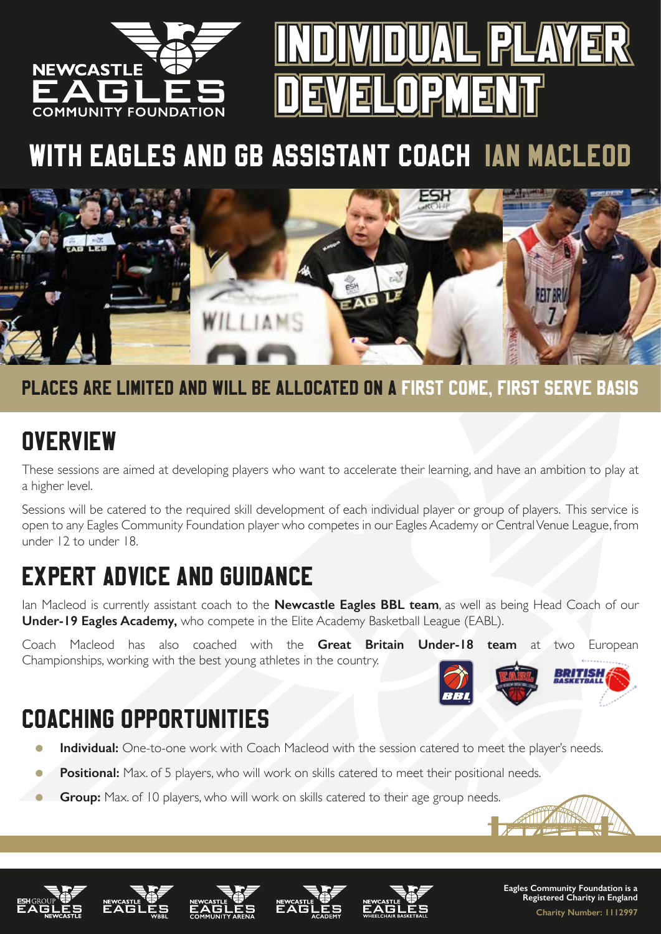



# WITH EAGLES AND GB ASSISTANT COACH IAN MACLEOD



### PLACES ARE LIMITED AND WILL BE ALLOCATED ON A FIRST COME, FIRST SERVE BASIS

### **OVERVIEW**

These sessions are aimed at developing players who want to accelerate their learning, and have an ambition to play at a higher level.

Sessions will be catered to the required skill development of each individual player or group of players. This service is open to any Eagles Community Foundation player who competes in our Eagles Academy or Central Venue League, from under 12 to under 18.

### EXPERT ADVICE AND GUIDANCE

Ian Macleod is currently assistant coach to the **Newcastle Eagles BBL team**, as well as being Head Coach of our **Under-19 Eagles Academy,** who compete in the Elite Academy Basketball League (EABL).

Coach Macleod has also coached with the **Great Britain Under-18 team** at two European Championships, working with the best young athletes in the country.

### COACHING OPPORTUNITIES

- **Individual:** One-to-one work with Coach Macleod with the session catered to meet the player's needs.
- **Positional:** Max, of 5 players, who will work on skills catered to meet their positional needs.
- **Group:** Max. of 10 players, who will work on skills catered to their age group needs.